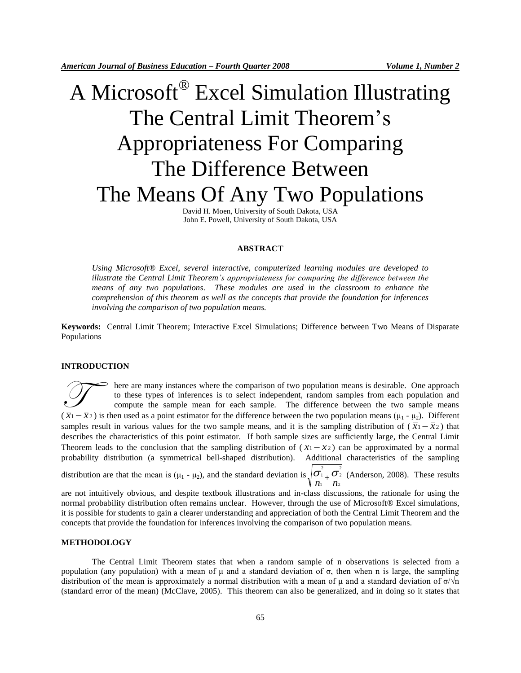# A Microsoft® Excel Simulation Illustrating The Central Limit Theorem's Appropriateness For Comparing The Difference Between The Means Of Any Two Populations

David H. Moen, University of South Dakota, USA John E. Powell, University of South Dakota, USA

#### **ABSTRACT**

*Using Microsoft® Excel, several interactive, computerized learning modules are developed to illustrate the Central Limit Theorem's appropriateness for comparing the difference between the means of any two populations. These modules are used in the classroom to enhance the comprehension of this theorem as well as the concepts that provide the foundation for inferences involving the comparison of two population means.*

**Keywords:** Central Limit Theorem; Interactive Excel Simulations; Difference between Two Means of Disparate Populations

#### **INTRODUCTION**

here are many instances where the comparison of two population means is desirable. One approach to these types of inferences is to select independent, random samples from each population and compute the sample mean for each sample. The difference between the two sample means There are many instances where the comparison of two population means is desirable. One approach to these types of inferences is to select independent, random samples from each population and compute the sample means for samples result in various values for the two sample means, and it is the sampling distribution of  $(\bar{x}_1 - \bar{x}_2)$  that describes the characteristics of this point estimator. If both sample sizes are sufficiently large, the Central Limit Theorem leads to the conclusion that the sampling distribution of  $(\bar{x}_1 - \bar{x}_2)$  can be approximated by a normal probability distribution (a symmetrical bell-shaped distribution). Additional characteristics of the sampling 2 2

distribution are that the mean is  $(\mu_1 - \mu_2)$ , and the standard deviation is 2 2 1  $\frac{\sigma_1}{n_1} + \frac{\sigma_2}{n_2}$  (Anderson, 2008). These results

are not intuitively obvious, and despite textbook illustrations and in-class discussions, the rationale for using the normal probability distribution often remains unclear. However, through the use of Microsoft® Excel simulations, it is possible for students to gain a clearer understanding and appreciation of both the Central Limit Theorem and the concepts that provide the foundation for inferences involving the comparison of two population means.

### **METHODOLOGY**

The Central Limit Theorem states that when a random sample of n observations is selected from a population (any population) with a mean of μ and a standard deviation of σ, then when n is large, the sampling distribution of the mean is approximately a normal distribution with a mean of  $\mu$  and a standard deviation of  $\sigma/\nu$ n (standard error of the mean) (McClave, 2005). This theorem can also be generalized, and in doing so it states that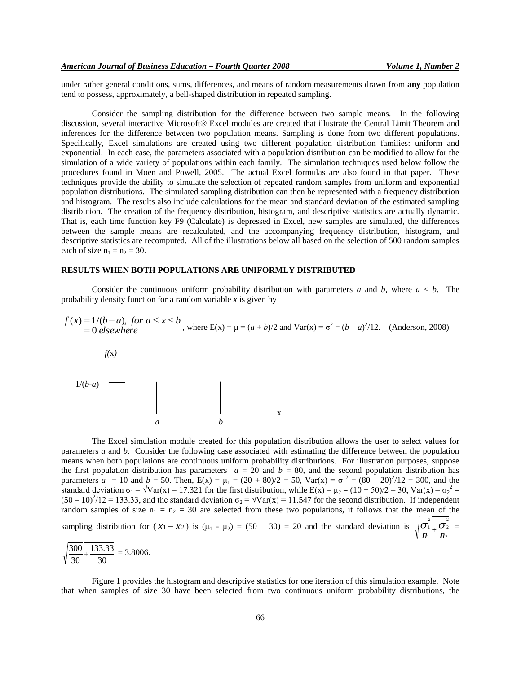under rather general conditions, sums, differences, and means of random measurements drawn from **any** population tend to possess, approximately, a bell-shaped distribution in repeated sampling.

Consider the sampling distribution for the difference between two sample means. In the following discussion, several interactive Microsoft® Excel modules are created that illustrate the Central Limit Theorem and inferences for the difference between two population means. Sampling is done from two different populations. Specifically, Excel simulations are created using two different population distribution families: uniform and exponential. In each case, the parameters associated with a population distribution can be modified to allow for the simulation of a wide variety of populations within each family. The simulation techniques used below follow the procedures found in Moen and Powell, 2005. The actual Excel formulas are also found in that paper. These techniques provide the ability to simulate the selection of repeated random samples from uniform and exponential population distributions. The simulated sampling distribution can then be represented with a frequency distribution and histogram. The results also include calculations for the mean and standard deviation of the estimated sampling distribution. The creation of the frequency distribution, histogram, and descriptive statistics are actually dynamic. That is, each time function key F9 (Calculate) is depressed in Excel, new samples are simulated, the differences between the sample means are recalculated, and the accompanying frequency distribution, histogram, and descriptive statistics are recomputed. All of the illustrations below all based on the selection of 500 random samples each of size  $n_1 = n_2 = 30$ .

#### **RESULTS WHEN BOTH POPULATIONS ARE UNIFORMLY DISTRIBUTED**

Consider the continuous uniform probability distribution with parameters *a* and *b*, where  $a < b$ . The probability density function for a random variable  $x$  is given by

$$
f(x) = 1/(b-a), \text{ for } a \le x \le b
$$
  
= 0 elsewhere  

$$
b
$$
, where  $E(x) = \mu = (a + b)/2$  and  $Var(x) = \sigma^2 = (b - a)^2/12$ . (Anderson, 2008)



The Excel simulation module created for this population distribution allows the user to select values for parameters *a* and *b*. Consider the following case associated with estimating the difference between the population means when both populations are continuous uniform probability distributions. For illustration purposes, suppose the first population distribution has parameters  $a = 20$  and  $b = 80$ , and the second population distribution has parameters  $a = 10$  and  $b = 50$ . Then,  $E(x) = \mu_1 = (20 + 80)/2 = 50$ ,  $Var(x) = \sigma_1^2 = (80 - 20)^2/12 = 300$ , and the standard deviation  $\sigma_1 = \sqrt{Var(x)} = 17.321$  for the first distribution, while  $E(x) = \mu_2 = (10 + 50)/2 = 30$ ,  $Var(x) = \sigma_2^2 =$  $(50 - 10)^2/12 = 133.33$ , and the standard deviation  $\sigma_2 = \sqrt{Var(x)} = 11.547$  for the second distribution. If independent random samples of size  $n_1 = n_2 = 30$  are selected from these two populations, it follows that the mean of the sampling distribution for  $(\bar{x}_1 - \bar{x}_2)$  is  $(\mu_1 - \mu_2) = (50 - 30) = 20$  and the standard deviation is 2 2 2 1 2  $\frac{\sigma_1}{n_1} + \frac{\sigma_2}{n_2}$  =

$$
\sqrt{\frac{300}{30} + \frac{133.33}{30}} = 3.8006.
$$

Figure 1 provides the histogram and descriptive statistics for one iteration of this simulation example. Note that when samples of size 30 have been selected from two continuous uniform probability distributions, the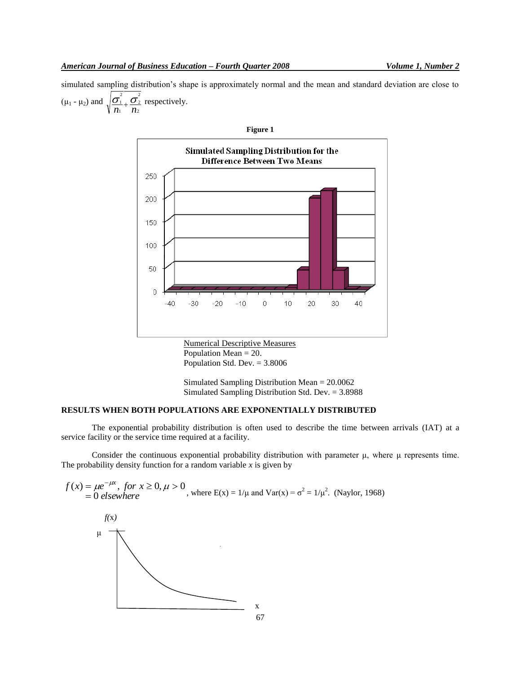simulated sampling distribution's shape is approximately normal and the mean and standard deviation are close to  $(\mu_1 - \mu_2)$  and 2 2 2 1 2  $\frac{\sigma_1}{n_1} + \frac{\sigma_2}{n_2}$  respectively.



Population Mean = 20. Population Std. Dev. = 3.8006

Simulated Sampling Distribution Mean = 20.0062 Simulated Sampling Distribution Std. Dev. = 3.8988

## **RESULTS WHEN BOTH POPULATIONS ARE EXPONENTIALLY DISTRIBUTED**

The exponential probability distribution is often used to describe the time between arrivals (IAT) at a service facility or the service time required at a facility.

Consider the continuous exponential probability distribution with parameter μ, where μ represents time. The probability density function for a random variable  $x$  is given by

$$
f(x) = \mu e^{-\mu x}, \text{ for } x \ge 0, \mu > 0,
$$
 where  
\n
$$
f(x)
$$
\n
$$
\mu
$$
\n
$$
f(x)
$$
\n
$$
\mu
$$
\n
$$
f(x)
$$
\n
$$
\mu
$$
\n
$$
f(x)
$$
\n
$$
\mu
$$
\n
$$
f(x)
$$
\n
$$
\mu
$$
\n
$$
f(x)
$$
\n
$$
\mu
$$
\n
$$
f(x)
$$
\n
$$
\mu
$$
\n
$$
f(x)
$$
\n
$$
\mu
$$
\n
$$
f(x)
$$
\n
$$
\mu
$$
\n
$$
f(x)
$$
\n
$$
\mu
$$
\n
$$
f(x)
$$
\n
$$
\mu
$$
\n
$$
f(x)
$$
\n
$$
\mu
$$
\n
$$
\sigma
$$
\n
$$
f(x)
$$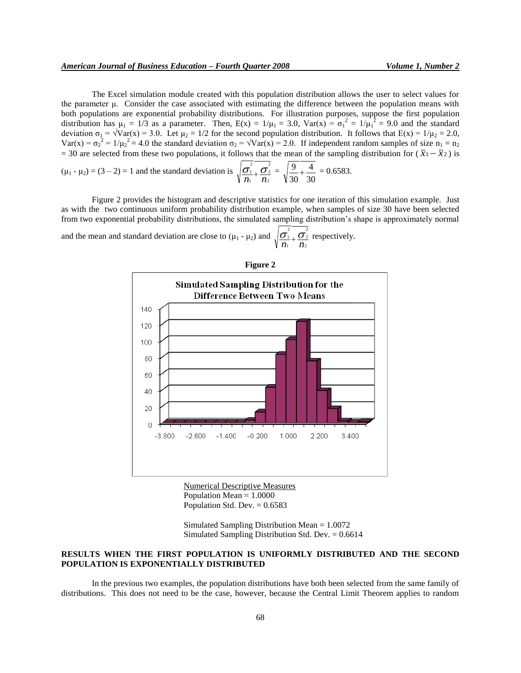The Excel simulation module created with this population distribution allows the user to select values for the parameter μ. Consider the case associated with estimating the difference between the population means with both populations are exponential probability distributions. For illustration purposes, suppose the first population distribution has  $\mu_1 = 1/3$  as a parameter. Then,  $E(x) = 1/\mu_1 = 3.0$ ,  $Var(x) = \sigma_1^2 = 1/\mu_1^2 = 9.0$  and the standard deviation  $\sigma_1 = \sqrt{Var(x)} = 3.0$ . Let  $\mu_2 = 1/2$  for the second population distribution. It follows that  $E(x) = 1/\mu_2 = 2.0$ ,  $Var(x) = \sigma_2^2 = 1/\mu_2^2 = 4.0$  the standard deviation  $\sigma_2 = \sqrt{Var(x)} = 2.0$ . If independent random samples of size  $n_1 = n_2$  $=$  30 are selected from these two populations, it follows that the mean of the sampling distribution for  $(\bar{x}_1 - \bar{x}_2)$  is 2 2

 $(\mu_1 - \mu_2) = (3 - 2) = 1$  and the standard deviation is 2 2 1  $\frac{\sigma_1}{n_1} + \frac{\sigma_2}{n_2} =$ 30 4 30  $\frac{9}{2} + \frac{4}{2} = 0.6583.$ 

Figure 2 provides the histogram and descriptive statistics for one iteration of this simulation example. Just as with the two continuous uniform probability distribution example, when samples of size 30 have been selected from two exponential probability distributions, the simulated sampling distribution's shape is approximately normal and the mean and standard deviation are close to  $(\mu_1 - \mu_2)$  and 2 2 2 1 2  $\frac{\sigma_1}{n_1} + \frac{\sigma_2}{n_2}$  respectively.



Numerical Descriptive Measures Population Mean = 1.0000 Population Std. Dev.  $= 0.6583$ 

Simulated Sampling Distribution Mean = 1.0072 Simulated Sampling Distribution Std. Dev.  $= 0.6614$ 

## **RESULTS WHEN THE FIRST POPULATION IS UNIFORMLY DISTRIBUTED AND THE SECOND POPULATION IS EXPONENTIALLY DISTRIBUTED**

In the previous two examples, the population distributions have both been selected from the same family of distributions. This does not need to be the case, however, because the Central Limit Theorem applies to random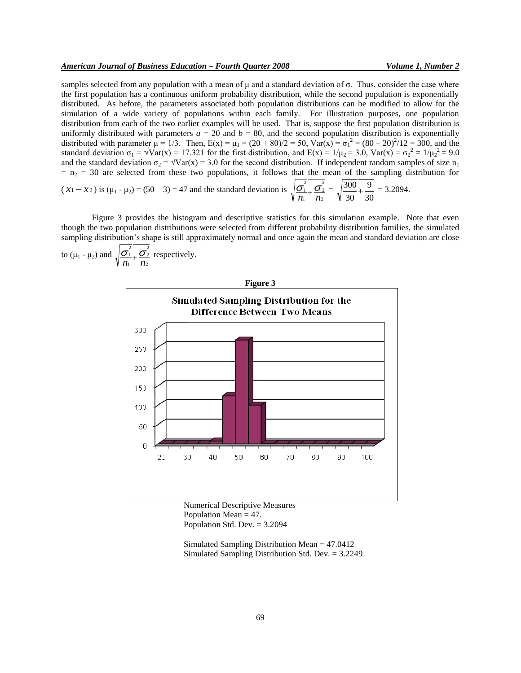samples selected from any population with a mean of  $\mu$  and a standard deviation of  $\sigma$ . Thus, consider the case where the first population has a continuous uniform probability distribution, while the second population is exponentially distributed. As before, the parameters associated both population distributions can be modified to allow for the simulation of a wide variety of populations within each family. For illustration purposes, one population distribution from each of the two earlier examples will be used. That is, suppose the first population distribution is uniformly distributed with parameters  $a = 20$  and  $b = 80$ , and the second population distribution is exponentially distributed with parameter  $\mu = 1/3$ . Then,  $E(x) = \mu_1 = (20 + 80)/2 = 50$ ,  $Var(x) = \sigma_1^2 = (80 - 20)^2/12 = 300$ , and the standard deviation  $\sigma_1 = \sqrt{Var(x)} = 17.321$  for the first distribution, and  $E(x) = 1/\mu_2 = 3.0$ ,  $Var(x) = \sigma_2^2 = 1/\mu_2^2 = 9.0$ and the standard deviation  $\sigma_2 = \sqrt{Var(x)} = 3.0$  for the second distribution. If independent random samples of size  $n_1$  $n_1 = n_2 = 30$  are selected from these two populations, it follows that the mean of the sampling distribution for  $(\bar{x}_1 - \bar{x}_2)$  is  $(\mu_1 - \mu_2) = (50 - 3) = 47$  and the standard deviation is 2 2 2  $\frac{\sigma_1}{n_1} + \frac{\sigma_2}{n_2} =$ 30 9 30  $\frac{300}{20} + \frac{9}{20} = 3.2094.$ 

Figure 3 provides the histogram and descriptive statistics for this simulation example. Note that even though the two population distributions were selected from different probability distribution families, the simulated sampling distribution's shape is still approximately normal and once again the mean and standard deviation are close 2 2

2

1

to  $(\mu_1 - \mu_2)$  and 2 2 1  $\frac{\sigma_1}{n_1} + \frac{\sigma_2}{n_2}$  respectively.



Population Mean  $= 47$ . Population Std. Dev. = 3.2094

Simulated Sampling Distribution Mean = 47.0412 Simulated Sampling Distribution Std. Dev. = 3.2249